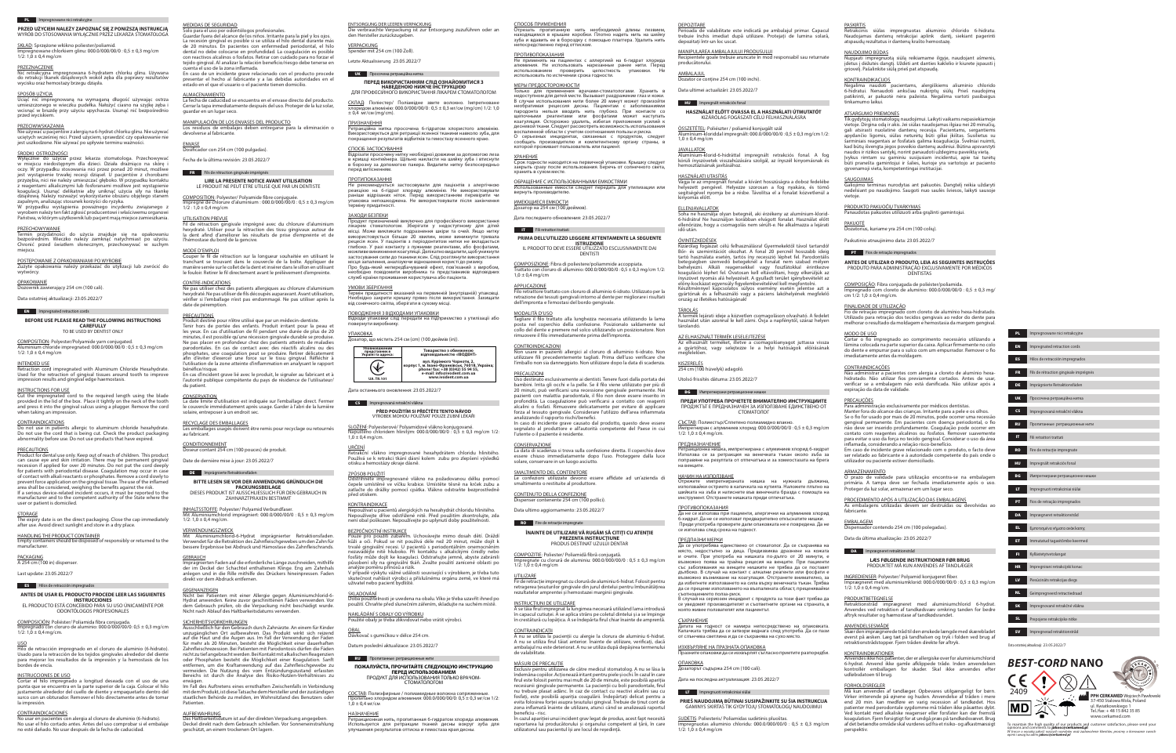SKŁAD: Sprzężone włókno poliester/poliamid.  $\overline{\text{Impre}}$ gnowane chlorkiem glinu: 000.0/000/00/0 : 0,5 ± 0,3 mg/cm

# $1/2$ :  $1,0 \pm 0,4$  mg/cm

# **PL Impregnowane nici retrakcyjne**

**PRZED UŻYCIEM NALEŻY ZAPOZNAĆ SIĘ Z PONIŻSZĄ INSTRUKCJĄ** WYRÓB DO STOSOWANIA WYŁĄCZNIE PRZEZ LEKARZA STOMATOLOGA

#### PRZEZNACZENIE

Nić retrakcyjna impregnowana 6-hydratem chlorku glinu. Używana do retrakcji tkanek dziąsłowych wokół zęba dla poprawy rezultatów wycisku oraz hemostazy brzegu dziąsła.

#### SPOSÓB UŻYCIA

Uciąć nić impregnowaną na wymaganą długość używając ostrza umieszczonego w wieczku pudełka. Nałożyć ciasno na szyjkę zęba i wcisnąć w bruzdę przy użyciu upychacza. Usunąć nić bezpośrednio przed wyciskiem.

#### PRZECIWWSKAZANIA

Nie używać u pacjentów z alergią na 6-hydrat chlorku glinu. Nie używać uciętych wcześniej nici. Przed użyciem, sprawdzić czy opakowanie nie jest uszkodzone. Nie używać po upływie terminu ważności.

### ŚRODKI OSTROŻNOŚCI

#### **OPAKOWANIE** Dozownik zawierający 254 cm (100 cali).

COMPOSITION: Polyester/Polyamide yarn conjugated.  $a$ minium chloride impregnated: 000.0/000/00/0 : 0,5  $\pm$  0,3 mg/cm  $1/2: 1,0 \pm 0,4$  mg/cm

Wyłącznie do użycia przez lekarza stomatologa. Przechowywać w miejscu niedostępnym dla dzieci. Działa drażniąco na skórę i oczy. W przypadku stosowania nici przez ponad 20 minut, możliwe jest wystąpienie trwałej recesji dziąseł. U pacjentów z chorobami przyzębia, nici nie należy umieszczać głęboko. W przypadku kontaktu reagentami alkalicznymi lub fosforanami możliwe jest wystąpienie koagulacji. Usunąć delikatnie aby uniknąć użycia siły na tkankę dziąsłową. Należy rozważyć wykorzystanie obszaru objętego stanem zapalnym, analizując stosunek korzyści do ryzyka.

etraction cord impregnated with Aluminum Chloride Hexahydrate. Used for the retraction of gingival tissues around tooth to improve impression results and gingival edge haemostasis.

W przypadku wystąpienia poważnego incydentu związanego z wyrobem należy ten fakt zgłosić producentowi i właściwemu organowi Państwa, w którym użytkownik lub pacjent mają miejsce zamieszkania.

#### **PRZECHOWYWANIE**

Termin przydatności do użycia znajduje się na opakowaniu bezpośrednim. Wieczko należy zamknąć natychmiast po użyciu. Chronić przed światłem słonecznym, przechowywać w suchym miejscu.

### POSTĘPOWANIE Z OPAKOWANIAMI PO WYROBIE

Zużyte opakowania należy przekazać do utylizacji lub zwrócić do wytwórcy.

Data ostatniej aktualizacji: 23.05.2022/7

# **EN** Impregnated retraction cords

**BEFORE USE PLEASE READ THE FOLLOWING INSTRUCTIONS CAREFULLY** TO BE USED BY DENTIST ONLY

#### INTENDED USE

#### INSTRUCTIONS FOR USE

Cut the impregnated cord to the required length using the blade provided in the lid of the box. Place it tightly on the neck of the tooth and press it into the gingival sulcus using a plugger. Remove the cord when taking an impression.

#### **CONTRAINDICATIONS**

Do not use in patients allergic to aluminum chloride hexahydrate. Do not use the cord that is being cut. Check the product packaging abnormality before use. Do not use products that have expired.

#### PRECAUTIONS

COMPOSITION: Polyester/ Polyamide fibre conjuguée.  $\overline{m}$ prégné de chlorure d'aluminium : 000.0/000/00/0 : 0,5  $\pm$  0,3 mg/cm  $1/2$  :  $1,0 \pm 0,4$  mg/cm

Product for dental use only. Keep out of reach of children. This product can cause eye and skin irritation. There may be permanent gingival recession if applied for over 20 minutes. Do not put the cord deeply for patients with periodontal disease. Coagulation may occur in case of contact with alkali reactants or phosphates. Remove a cord slowly to prevent force application on the gingival tissue. The use of the inflamed area shall be considered, weighing the benefits against the risk. If a serious device-related incident occurs, it must be reported to the manufacturer and to the competent authority of the State where the user or patient is domiciled.

# **STORAGE**

Ne pas utiliser chez des patients allergiques au chlorure d'aluminium hexydraté. Ne pas utiliser de fils découpés auparavant. Avant utilisation, vérifier si l'emballage n'est pas endommagé. Ne pas utiliser après la date de péremption

The expiry date is on the direct packaging. Close the cap immediately after use. Avoid direct sunlight and store in a dry place.

## HANDLING THE PRODUCT CONTAINER

Empty containers should be disposed of responsibly or returned to the manufacturer.

# PACKAGING

A 254 cm (100 in) dispenser.

Produit destiné pour n'être utilisé que par un médecin-dentiste. Tenir hors de portée des enfants. Produit irritant pour la peau et les yeux. En cas d'utilisation de fil pendant une durée de plus de 20 minutes, il est possible qu'une récession gingivale durable se produise. Ne pas placer en profondeur chez des patients atteints de maladies parodontales. En cas de contact avec des réactifs alcalins ou des phosphates, une coagulation peut se produire. Retirer délicatement afin d'éviter d'exercer une force sur le tissu gingival. Réfléchir à l'utilisation de la zone atteinte d'inflammation en analysant le rapport bénéfice/risque.

# Last update: 23.05.2022/7

# ES Hilos de retracción impregnados

**ANTES DE USAR EL PRODUCTO PROCEDE LEER LAS SIGUIENTES INSTRUCCIONES** EL PRODUCTO ESTÁ CONCEBIDO PARA SU USO ÚNICAMENTE POR ODONTÓLOGOS PROFESIONALES

# COMPOSICIÓN: Poliéster/ Poliamida fibra conjugada.

 $n$ pregnado con cloruro de aluminio: 000.0/000/00/0: 0,5  $\pm$  0,3 mg/cm  $1/2$ :  $1,0 \pm 0.4$  mg/cm.

### USO

Hilo de retracción impregnado en el cloruro de aluminio (6-hidrato). Usado para la retracción de los tejidos gingivales alrededor del diente para mejorar los resultados de la impresión y la hemostasis de los bordes de encía.

Aluminiumchlorid-6-Hydrat imprägnierter Retraktionsfaden. Verwendet für die Retraktion des Zahnfleischgewebes um den Zahn für bessere Ergebnisse bei Abdruck und Hämostase des Zahnfleischrands.

#### INSTRUCCIONES DE USO

Cortar el hilo impregnado a longitud deseada con el uso de una punta que se encuentra en la parte superior de la caja. Colocar el hilo justamente alrededor del cuello de diente y empaquetarlo dentro del surco con un obturador. Remover el hilo directamente antes de tomar la impresión.

#### **CONTRAINDICACIONES**

Ausschließlich für den Gebrauch durch Zahnärzte. An einem für Kinder unzugänglichen Ort aufbewahren. Das Produkt wirkt sich reizend auf die Haut und die Augen aus. Im Fall der Verwendung der Fäden für mehr als 20 Minuten, besteht die Möglichkeit einer dauerhaften Zahnfleischrezession. Bei Patienten mit Parodontosis dürfen die Fäden nicht zu tief angebracht werden. Bei Kontakt mit alkalischen Reagenzien oder Phosphaten besteht die Möglichkeit einer Koagulation. Sanft entfernen, um die Kraftanwendung auf das Zahnfleischgewebe zu vermeiden. Die Nutzung des vom Entzündungszustand erfassten Bereichs ist durch die Analyse des Risiko-Nutzen-Verhältnisses zu erwägen

No usar en pacientes con alergia al cloruro de aluminio (6-hidrato). No usar el hilo cortado antes. Antes del uso comprobar si el embalaje no esté dañado. No usar después de la fecha de caducidad.

# MEDIDAS DE SEGURIDAD

Im Fall des Auftretens eines ernsthaften Zwischenfalls in Verbindung mit dem Produkt, ist diese Tatsache dem Hersteller und der zuständigen staatlichen Behörde zu melden, im Wohnsitzland des Benutzers oder **Patienten** 

#### **AUFBEWAHRUNG**

Solo para el uso por odontólogos profesionales. Guardar fuera del alcance de los niños. Irritante para la piel y los ojos. La recesión gingival es posible si se utiliza el hilo dental durante más de 20 minutos. En pacientes con enfermedad periodontal, el hilo dental no debe colocarse en profundidad. La coagulación es posible con reactivos alcalinos o fosfatos. Retirar con cuidado para no forzar el tejido gingival. Al analizar la relación beneficio/riesgo debe tenerse en cuenta el uso de la zona inflamada.

> $\pm$  0,4 мг/см (mg/cm). ПРИЗНАЧЕННЯ

En caso de un incidente grave relacionado con el producto procede presentar el hecho al fabricante y a las debidas autoridades en el estado en el que el usuario o el paciente tienen domicilio.

#### **ALMACENAMIENTO**

La fecha de caducidad se encuentra en el envase directo del producto. Cerrar la tapa inmediatamente después del uso. Proteger de la luz solar, guardar en un lugar seco.

MANIPULACIÓN DE LOS ENVASES DEL PRODUCTO Los residuos de embalajes deben entregarse para la eliminación o devolverse al fabricante.

#### ENVASE

Dosificador con 254 cm (100 pulgadas).

Fecha de la última revisión: 23.05.2022/7

#### FR Fils de rétraction gingivale imprégnés

#### **LIRE LA PRESENTE NOTICE AVANT UTILISATION** LE PRODUIT NE PEUT ETRE UTILISE QUE PAR UN DENTISTE

# UTILISATION PREVUE

Fil de rétraction gingivale imprégné avec du chlorure d'aluminium hexydraté. Utiliser pour la rétraction des tissu gingivaux autour de la dent afind d'améliorer les résultats de prise d'empreinte et de l'hémostase du bord de la gencive.

# MODE D'EMPLOI

před otiskem. **KONTRAINDIKACE** 

<u>URČENÍ</u>

Couper le fil de rétraction sur la longueur souhaitée en utilisant le tranchant se trouvant dans le couvercle de la boîte. Appliquer de manière serrée sur le collet de la dent et insérer dans le sillon en utilisant le fouloir. Retirer le fil directement avant le prélèvement d'empreinte.

#### CONTRE-INDICATIONS

#### PRECAUTIONS

-------------------<br>Ретракционная нить, пропитанная 6-гидратом хлорида алюминия. Используется для ретракции тканей десны вокруг зуба для

En cas d'incident grave lié avec le produit, le signaler au fabricant et à l'autorité publique compétente du pays de résidence de l'utilisateur/ du patient.

#### **CONSERVATION**

La date limite d'utilisation est indiquée sur l'emballage direct. Fermer le couvercle immédiatement après usage. Garder à l'abri de la lumière solaire, entreposer à un endroit sec.

### RECYCLAGE DES EMBALLAGES

Les emballages usagés doivent être remis pour recyclage ou retournés au fabricant.

<u>ИМЕЮЩИЕСЯ ЕМКОСТИ</u><br>Дозатор на 254 см (100 дюймов). Дата последнего обновления: 23.05.2022/7

#### CONDITIONNEMENT

Doseur contant 254 cm (100 pouces) de produit.

COMPOSIZIONE: Fibra di poliestere/poliammide accoppiata. Trattato con cloruro di alluminio: 000.0/000/00/0 : 0,5  $\pm$  0,3 mg/cm 1/2:

#### Date de dernière mise à jour: 23.05.2022/7

#### DE Imprägnierte Retraktionsfäden

 $1,0 \pm 0.4$  mg/cm APPLICAZIONE

<u>MODALITÀ D'USO</u>

**BITTE LESEN SIE VOR DER ANWENDUNG GRÜNDLICH DIE PACKUNGSBEILAGE** DIESES PRODUKT IST AUSSCHLIESSLICH FÜR DEN GEBRAUCH IN ZAHNARZTPRAXEN BESTIMMT

# INHALTSSTOFFE: Polyester/ Polyamid Verbundfaser.

Aluminiumchlorid imprägniert: 000.0/000/00/0 : 0,5  $\pm$  0,3 mg/cm  $1/2$ :  $1.0 \pm 0.4$  mg/cm.

### VERWENDUNGSZWECK

GEBRAUCH Imprägnierten Faden auf die erforderliche Länge zuschneiden, mithilfe der im Deckel der Schachtel enthaltenen Klinge. Eng am Zahnhals anlegen und in die Rille mithilfe des Drückers hineinpressen. Faden direkt vor dem Abdruck entfernen.

# **GEGENANZEIGEN**

Nicht bei Patienten mit einer Allergie gegen Aluminiumchlorid-6- Hydrat anwenden. Keine zuvor geschnittenen Fäden verwenden. Vor dem Gebrauch prüfen, ob die Verpackung nicht beschädigt wurde. Nicht nach Ablauf des Haltbarkeitsdatums verwenden.

# **RO** Fire de retracție impregnate **ÎNAINTE DE UTILIZARE VĂ RUGĂM SĂ CITIȚI CU ATENŢIE**

**PREZENTA INSTRUCŢIUNE** PRODUS DESTINAT UZULÚI DENTAR

#### SICHERHEITSVORKEHRUNGEN

regnat cu clorură de aluminiu 6-hidrat. Folosit pent retragerea țesuturilor gingivale din jurul dintelui pentru îmbunătățirea rezultatelor amprentei și hemostazei marginii gingivale.

**DEPOZITARE** Perioada de valabilitate este indicată pe ambalajul primar. Capacul trebuie închis imediat după utilizare. Protejați de lumina solară, depozitați într-un loc uscat.

Das Haltbarkeitsdatum ist auf der direkten Verpackung angegeben. Deckel direkt nach dem Gebrauch schließen. Vor Sonneneinstrahlung geschützt, an einem trockenen Ort lagern.

ENTSORGUNG DER LEEREN VERPACKUNG Die verbrauchte Verpackung ist zur Entsorgung zuzuführen oder an den Hersteller zurückzugeben.

### VERPACKUNG

Spender mit 254 cm (100 Zoll).

Imínium-klorid-6-hidráttal impregnált retrakciós fonal. A fog körüli ínyszövetek visszahúzására szolgál, az ínyszél kinyomásnak és hemosztázisának javításához.

#### Letzte Aktualisierung 23.05.2022/7

#### **UK Просочена ретракційна нитка**

**ПЕРЕД ВИКОРИСТАННЯМ СЛІД ОЗНАЙОМИТИСЯ З НАВЕДЕНОЮ НИЖЧЕ ІНСТРУКЦІЄЮ** ДЛЯ ПРОФЕСІЙНОГО ВИКОРИСТАННЯ ЛІКАРЕМ СТОМАТОЛОГОМ

СКЛАД: Поліестер/ Поліамідне звите волокно. Імпрегноване хлоридом алюмінію: 000.0/000/00/0 : 0,5 ± 0,3 мг/см (mg/cm) 1/2: 1,0

Ретракційна нитка просочена 6-гідратом хлористого алюмінію. Використовується для ретракції ясенної тканини навколо зуба, для покращення результатів відбитків та гемостазу ясенного краю.

СПОСІБ ЗАСТОСУВАННЯ

Відрізати просочену нитку необхідної довжини за допомогою леза в кришці контейнера. Щільно накласти на шийку зуба і втиснути в борозну за допомогою пакера. Видалити нитку безпосередньо

перед витісненням. ПРОТИПОКАЗАННЯ

> СЪСТАВ: Полиестър/Сплетено полиамидно влакно. Импрегниран с алуминиев хлорид: 000.0/000/00/0 : 0,5 ± 0,3 mg/cm  $1/2: 1,0 \pm 0,4$  mg/cm.

Не рекомендується застосовувати для пацієнтів з алергічною реакцією на 6-гідрат хлориду алюмінію. Не використовувати раніше відрізаних ніток. Перед використанням перевірити чи упаковка непошкоджена. Не використовувати після закінчення

терміну придатності. ЗАХОДИ БЕЗПЕКИ

Продукт призначений виключно для професійного використання лікарем стоматологом. Зберігати у недоступному для дітей місці. Може викликати подразнення шкіри та очей. Якщо нитку використовується більше 20 хвилин, може виникнути тривала рецесія ясен. У пацієнтів з періодонтитом нитки не вкладається глибоко. У разі контакту з лужними реагентами, або фосфатами, можливе виникнення коагуляції. Делікатно видалити, щоб уникнути застосування сили до тканини ясен. Слід розглянути використання місця запалення, аналізуючи відношення користі до ризику. Про будь-який непередбачуваний ефект, пов'язаний з виробом, необхідно повідомити виробника та представників відповідних

служб країни проживання користувача або пацієнта.

ИЗХВЪРЛЯНЕ НА ПРАЗНАТА ОПАКОВКА е опаковки да се изхвърлят съгласно приетите разпоредби.

УМОВИ ЗБЕРІГАННЯ

Термін придатності вказаний на первинній (внутрішній) упаковці. Необхідно закрити кришку прямо після використання. Захищати

> SUDĖTIS: Poliesteris/ Poliamidas sudėtinis pluoštas. Impregnuotas aliuminio chloridu: 000.0/000/00/0 : 0,5 ± 0,3 mg/cm  $1/2$ :  $1,0 \pm 0.4$  mg/cm

від сонячного світла, зберігати в сухому місці. ПОВОДЖЕННЯ З ВІДХОДАМИ УПАКОВКИ

Відходи упаковки слід передати на підприємство з утилізації або

повернути виробнику.

УПАКОВКА

 $1,0 \pm 0,4$  mg/cm.

Дозатор, що містить 254 см (cm) (100 дюймів (in)).

Дата останнього оновлення: 23.05.2022/7

**CS** Impregnovaná retrakční vlákna

**PŘED POUŽITÍM SI PŘEČTĚTE TENTO NÁVOD** VÝROBEK MOHOU POUŽÍVAT POUZE ZUBNÍ LÉKAŘI

Napuštěno chloridem hlinitým: 000.0/000/00/0 : 0,5 ± 0,3 mg/cm 1/2:

Retrakční vlákno impregnované hexahydrátem chloridu hlinitého. Používá se k retrakci tkání dásní kolem zubu pro zlepšení výsledků

otisku a hemostázy okraje dásně.

ZPŮSOB POUŽITÍ

Odstřihněte impregnované vlákno na požadovanou délku pomocí čepele umístěné ve víčku krabice. Umístěte těsně na krček zubu a zatlačte do drážky pomocí cpátka. Vlákno odstraňte bezprostředně

Nepoužívat u pacientů alergických na hexahydrát chloridu hlinitého. Nepoužívejte dříve odstřižené nitě. Před použitím zkontrolujte, zda není obal poškozen. Nepoužívejte po uplynutí doby použitelnosti.

BEZPEČNOSTNÍ INSTRUKCE

Pouze pro použití zubařem. Uchovávejte mimo dosah dětí. Dráždí kůži a oči. Pokud se nit používá déle než 20 minut, může dojít k trvalé gingivální recesi. U pacientů s periodontálním onemocněním nezavádějte nitě hluboko. Při kontaktu s alkalickými činidly nebo fosfáty může dojít ke koagulaci. Odstraňujte jemně, abyste zabránili působení síly na gingivální tkáň. Zvažte použití zanícené oblasti po

analýze poměru přínosů a rizik.

V případě výskytu vážné události související s výrobkem, je třeba tuto skutečnost nahlásit výrobci a příslušnému orgánu země, ve které má

uživatel nebo pacient bydliště.

<u>SKLADOVÁNÍ</u>

 $1,0,0,4$  мг/см <u>- НАЗНАЧЕНИЕ</u>

Doba použitelnosti je uvedena na obalu. Víko je třeba uzavřít ihned po použití. Chraňte před slunečním zářením, skladujte na suchém místě.

NAKLÁDÁNÍ S OBALY OD VÝROBKU

Použité obaly je třeba zlikvidovat nebo vrátit výrobci.

OBAL

Dávkovač s gumičkou v délce 254 cm. Datum poslední aktualizace: 23.05.2022/7

**RU Пропитанные ретракционные нити** 

 $1/2$ :  $1,0 + 0,4$  mg/cm. PRODUKTBETEGNELSE

**ПОЖАЛУЙСТА, ПРОЧИТАЙТЕ СЛЕДУЮЩУЮ ИНСТРУКЦИЮ ПЕРЕД ИСПОЛЬЗОВАНИЕМ** ПРОДУКТ ДЛЯ ИСПОЛЬЗОВАНИЯ ТОЛЬКО ВРАЧОМ-СТОМАТОЛОГОМ СОСТАВ: Полиэфирные / полиамидные волокна сопряженные. Пропитано хлоридом алюминия: 000.0/000/00/0: 0,5 ± 0,3 мг/см 1/2:

улучшения результатов оттиска и гемостаза края десны.

<u>SLOŽENÍ</u>: Polyesterové/ Polyamidové vlákno konjugované.

СПОСОБ ПРИМЕНЕНИЯ

Отрезать пропитанную нить необходимой длины лезвием, находящимся в крышке коробки. Плотно надеть нить на шейку зуба и вдавить ее в бороздку с помощью плаггера. Удалить нить непосредственно перед оттиском.

ПРОТИВОПОКАЗАНИЯ

Не применять на пациентах с аллергией на 6-гидрат хлорида алюминия. Не использовать нарезанные ранее нити. Перед использованием проверить целостность упаковки. Не использовать по истечении срока годности.

> EL Εμποτισμένα νήματα ανάκλασης **ET** Immutatud tagasitõmbe keermed

**HR** Impregnirani retrakcijski konac

МЕРЫ ПРЕДОСТОРОЖНОСТИ

To maintain the high quality of our products and customer satisfaction, please send your<br>opinions and comments to **jakosc@cerkamed.pl** *W trosce o wysoką jakość naszych wyrobów oraz zadowolenie klientów, prosimy o kierowanie swoich opinii i uwag na adres jakosc@cerkamed.pl*

Только для применения врачами-стоматологами. Хранить в недоступном для детей месте. Вызывает раздражение глаз и кожи. В случае использования нити более 20 минут может произойти необратимая рецессия десны. Пациентам с заболеваниями пародонта нельзя вводить нить глубоко. При контакте со щелочными реагентами или фосфатами может наступать коагуляция. Осторожно удалить, избегая приложения усилий к десневой ткани. Следует рассмотреть возможность использования воспаленной области с учетом соотношения пользы и риска. О серьезных инцидентах, связанных с продуктом, следует сообщать производителю и компетентному органу страны, в которой проживает пользователь или пациент.

ХРАНЕНИЕ

Срок годности находится на первичной упаковке. Крышку следует закрыть сразу после использования. Беречь от солнечного света,

хранить в сухом месте.

# ОБРАЩЕНИЕ С ИСПОЛЬЗОВАННЫМИ ЕМКОСТЯМИ

Использованные емкости следует передать для утилизации или

вернуть производителю.

**IT Fili retrattori trattati** 

#### **PRIMA DELL'UTILIZZO LEGGERE ATTENTAMENTE LA SEGUENTE ISTRUZIONE** IL PRODOTTO DEVE ESSERE UTILIZZATO ESCLUSIVAMENTE DAI

DENTIST

Filo retrattore trattato con cloruro di alluminio 6-idrato. Utilizzato per la retrazione dei tessuti gengivali intorno al dente per migliorare i risultati dell'impronta e l'emostasi del bordo gengivale.

Tagliare il filo trattato alla lunghezza necessaria utilizzando la lama posta nel coperchio della confezione. Posizionalo saldamente sul collo del dente e premere nel solco utilizzando un posizionatore. Non rimuovere il filo immediatamente prima dell'impronta.

CONTROINDICAZIONI

Non usare in pazienti allergici al cloruro di alluminio 6-idrato. Non utilizzare fili precedentemente tagliati. Prima dell'uso verificare che l'imballo non sia danneggiato. Non utilizzare dopo la data di scadenza.

PRECAUZIONI

Uso destinato esclusivamente ai dentisti. Tenere fuori dalla portata dei bambini. Irrita gli occhi e la pelle. Se il filo viene utilizzato per più di 20 minuti, può verificarsi una recessione gengivale permanente. Ne pazienti con malattia parodontale, il filo non deve essere inserito in profondità. La coagulazione può verificarsi a contatto con reagenti alcalini o fosfati. Rimuovere delicatamente per evitare di applicare forza al tessuto gengivale. Considerare l'utilizzo dell'area infiammata analizzando il rapporto rischi/benefici.

In caso di incidente grave causato dal prodotto, questo deve essere segnalato al produttore e all'autorità competente del Paese in cui l'utente o il paziente è residente.

CONSERVAZIONE

 $1/\overline{2}$ :  $1.\overline{0} \pm 0.4$  mg/cm

La data di scadenza si trova sulla confezione diretta. Il coperchio deve essere chiuso immediatamente dopo l'uso. Proteggere dalla luce solare, conservare in un luogo asciutto.

SMALTIMENTO DEL CONTENITORE Le confezioni utilizzate devono essere affidate ad un'azienda di smaltimento o restituite al produttore.

CONTENUTO DELLA CONFEZIONE Dispenser contenente 254 cm (100 pollici).

Data ultimo aggiornamento: 23.05.2022/7

COMPOZITIE: Poliester/ Poliamidă fibră conjugată.

Impregnate cu clorură de aluminiu: 000.0/000/00/0 : 0,5 ± 0,3 mg/cm

UTILIZARE

INSTRUCȚIUNI DE UTILIZARE

A se tăia firul impregnat la lungimea necesară utilizând lama introdusă în capacul cutiuței. A se aplica strâns pe coletul dintelui și a se împinge în crestătură cu lopățica. A se îndepărta firul chiar înainte de amprentă.

CONTRAINDICAȚII

A nu se utiliza la pacienții cu alergie la clorura de aluminiu 6-hidrat. A nu se utiliza firul tăiat anterior. Înainte de utilizare, verificați, dacă ambalajul nu este deteriorat. A nu se utiliza după depășirea termenului

de valabilitate.

MĂSURI DE PRECAUȚIE

Exclusiv pentru utilizarea de către medicul stomatolog. A nu se lăsa la îndemâna copiilor. Acționează iritant pentru piele și ochi. În cazul în care firul este folosit pentru mai mult de 20 de minute, este posibilă apariția recesiunii gingivale permanente. La pacienții cu boli parodontale, firul nu trebuie plasat adânc. În caz de contact cu reactivi alcalini sau cu fosfați, este posibilă apariția coagulării. Îndepărtați delicat pentru a evita folosirea forței asupra țesutului gingival. Trebuie de ținut cont de zona inflamată înainte de utilizare, atunci când se analizează raportul

beneficiu - risc.

În cazul apariției unui incident grav legat de produs, acest fapt necesită raportarea lui producătorului și organului competent al țării, în care utilizatorul sau pacientul își are locul de reședință.

# MANIPULAREA AMBALAJULUI PRODUSULUI

Recipientele goale trebuie aruncate în mod responsabil sau returnate producătorului.

AMBALAJUL Dozator ce conține 254 cm (100 inchi).

Data ultimei actualizări: 23.05.2022/7

**HU** Impregnált retrakciós fonal

### **HASZNÁLAT ELŐTT OVASSA EL A HASZNÁLATI ÚTMUTATÓT** KIZÁRÓLAG FOGÁSZATI CÉLÚ FELHASZNÁLÁSRA

ÖSSZETÉTEL: Poliészter / poliamid konjugált szál  $m$ ínium-kloriddal impregnált: 000.0/000/00/0 : 0,5  $\pm$  0,3 mg/cm 1/2:  $1,0 \pm 0,4$  mg/cm

# JAVALLATOK

## HASZNÁLATI UTASÍTÁS

Vágja le az impregnált fonalat a kívánt hosszúságra a doboz fedelébe helyezett pengével. Helyezze szorosan a fog nyakára, és tömő segítségével nyomja be a résbe. Távolítsa el a fonalat közvetlenül a kinyomás előtt.

### ELLENJAVALLATOK

Soha ne használja olyan betegnél, aki érzékeny az alumínium-klorid-6-hidrátra! Ne használjon korábban elvágott fonalat. Használat előtt ellenőrizze, hogy a csomagolás nem sérült-e. Ne alkalmazza a lejárati idő után.

#### ÓVINTÉZKEDÉSEK

Kizárólag fogászat célú felhasználásra! Gyermekektől távol tartandó! Bőr- és szemirritációt okozhat. A fonal 20 percnél hosszabb ideig tartó használata esetén, tartós íny recesszió léphet fel. Parodontális betegségben szenvedő betegeknél a fonalat nem szabad mélyen behelyezni. Alkáli reagensekkel vagy foszfátokkal érintkezve koaguláció léphet fel. Óvatosan kell eltávolítani, hogy elkerüljük az ínyszövet nyomás alá helyezését. A gyulladt terület igénybevételét az előny-kockázat egyensúly figyelembevételével kell megfontolni. Készítménnyel kapcsolatos súlyos esemény esetén jelentse azt a gyártónak és a felhasználó vagy a páciens lakóhelyének megfelelő ország az illetékes hatóságának!

# <u>TÁROLÁS</u>

A termék lejárati ideje a közvetlen csomagoláson olvasható. A fedelet használat után azonnal le kell zárni. Óvja a napfénytől, száraz helyen tárolandó.

### AZ ELHASZNÁLT TERMÉK LESELEJTEZÉSE

Az elhasznált terméket, illetve a csomagolóanyagot juttassa vissza a gyártóhoz, vagy selejtezze le a helyi hatóságok előírásának megfelelően.

KISZERELÉS 254 cm (100 hüvelyk) adagoló.

Utolsó frissítés dátuma: 23.05.2022/7

#### **BG** Импрегнирани ретракционни нишки

#### **ПРЕДИ УПОТРЕБА ПРОЧЕТЕТЕ ВНИМАТЕЛНО ИНСТРУКЦИИТЕ** ПРОДУКТЪТ Е ПРЕДНАЗНАЧЕН ЗА ИЗПОЛЗВАНЕ ЕДИНСТВЕНО ОТ СТОМАТОЛОГ

# ПРЕДНАЗНАЧЕНИЕ

Ретракционна нишка, импрегнирана с алуминиев хлорид 6-хидрат Използва се за ретракция на венечната тъкан около зъба за поправяне на резултата от отпечатъка и за хомеостазата на брега на венците.

### НАЧИН НА ИЗПОЛЗВАНЕ

Отрежете импрегнираната нишка на нужната дължина, използвайки острието в капачката на кутията. Наложете плътно на шийката на зъба и натиснете във венечната бразда с помощта на инструмент. Отстранете нишката преди отпечатъка.

# ПРОТИВОПОКАЗАНИЯ

Да не се използва при пациенти, алергични на алуминиев хлорид 6-хидрат. Да не се използват предварително откъснатите нишки. Преди употреба проверете дали опаковката не е повредена. Да не се използва след срока на годност.

### ПРЕДПАЗНИ МЕРКИ

Да се употребява единствено от стоматолог. Да се съхранява на място, недостъпно за деца. Предизвиква дразнене на кожата и очите. При употреба на нишката по-дълго от 20 минути, е възможно поява на трайна рецесия на венците. При пациенти със заболявания на венците нишките не трябва да се поставят дълбоко. В случай на контакт с алкални реагенти или фосфати е възможно възникване на коагулация. Отстранете внимателно, за да избегнете използването на сила върху венечната тъкан. Трябва да се прецени използването на възпалената област, преценявайки съотношението полза-риск. В случай на сериозен инцидент с продукта за този факт трябва да

се уведомят производителят и съответните органи на страната, в която живее ползвателят или пациентът.

#### СЪХРАНЕНИЕ

Датата на годност се намира непосредствено на опаковката. Капачката трябва да се затвори веднага след употреба. Да се пази от слънчева светлина и да се съхранява на сухо място.

ОПАКОВКА Дозаторът съдържа 254 cm (100 cali).

Дата на последна актуализация: 23.05.2022/7

# **LT Impregnuoti retrakciniai siūlai**

**PRIEŠ NAUDOJIMĄ BŪTINAI SUSIPAŽINKITE SU ŠIA INSTRUKCIJA** GAMINYS SKIRTAS TIK GYDYTOJŲ STOMATOLOGŲ NAUDOJIMUI

PASKIRTIS

Retrakcinis siūlas impregnuotas aliuminio chlorido 6-hidratu. Naudojamas dantenų retrakcijai aplink dantį, siekiant pagerinti atspaudų rezultatus ir dantenų krašto hemostazę.

## NAUDOJIMO BŪDAS

Nupjauti impregnuotą siūlą reikiamame ilgyje, naudojant ašmenis, įdėtus į dėžutės dangtį. Uždėti ant danties kaklelio ir kiurete įspausti į griovelį. Pašalinkite siūlą prieš pat atspaudą.

### KONTRAINDIKACIJOS

Negalima naudoti pacientams, alergiškiems aliuminio chlorido 6-hidratui. Nenaudoti anksčiau nukirptų siūlų. Prieš naudojimą patikrinti, ar pakuotė nėra pažeista. Negalima vartoti pasibaigus tinkamumo laikui.

# ATSARGUMO PRIEMONĖS

Tik gydytojų stomatologų naudojimui. Laikyti vaikams nepasiekiamoje vietoje. Dirgina odą ir akis. Jei siūlas naudojamas ilgiau nei 20 minučių, gali atsirasti nuolatinė dantenų recesija. Pacientams, sergantiems apydančio ligomis, siūlas neturėtų būti giliai įkištas. Susilietus su šarminiais reagentais ar fosfatais galima koaguliacija. Švelniai nuimti, kad būtų išvengta jėgos poveikio dantenų audiniui. Būtina apsvarstyti naudos ir rizikos santykį, norint panaudoti uždegimu paveiktą vietą. Įvykus rimtam su gaminiu susijusiam incidentui, apie tai turėtų būti pranešta gamintojui ir šalies, kurioje yra vartotojo ar paciento gyvenamoji vieta, kompetentingai institucijai.

#### SAUGOJIMAS

Galiojimo terminas nurodytas ant pakuotės. Dangtelį reikia uždaryti nedelsiant po naudojimo. Saugoti nuo saulės šviesos, laikyti sausoje vietoje.

### PRODUKTO PAKUOČIŲ TVARKYMAS

Panaudotas pakuotes utilizuoti arba grąžinti gamintojui.

# PAKUOTĖ

Dozatorius, kuriame yra 254 cm (100 colių).

Paskutinio atnaujinimo data: 23.05.2022/7

# **PT** Fios de retração impregnados

#### **ANTES DE UTILIZAR O PRODUTO, LEIA AS SEGUINTES INSTRUÇÕES** PRODUTO PARA ADMINISTRAÇÃO EXCLUSIVAMENTE POR MÉDICOS DENTISTAS

# COMPOSIÇÃO: Fibra conjugada de poliéster/poliamida.

Impregnado com cloreto de alumínio: 000.0/000/00/0 : 0,5  $\pm$  0,3 mg/ cm  $1/2$ :  $1,0 \pm 0,4$  mg/cm.

#### FINALIDADE DE UTILIZAÇÃO

Fio de retração impregnado com cloreto de alumínio hexa-hidratado. Utilizado para retração dos tecidos gengivais ao redor do dente para melhorar o resultado da moldagem e hemostasia da margem gengival.

### MODO DE USO

Cortar o fio impregnado ao comprimento necessário utilizando a lâmina colocada na parte superior da caixa. Aplicar firmemente no colo do dente e empurrar para o sulco com um empurrador. Remover o fio imediatamente antes da moldagem.

#### **CONTRAINDICAÇÕES**

Não administrar a pacientes com alergia a cloreto de alumínio hexahidratado. Não utilizar fios previamente cortados. Antes de usar, verificar se a embalagem não está danificada. Não utilizar após a expiração da data de validade.

#### **PRECAUÇÕES**

# Para administração exclusivamente por médicos dentistas.

Manter fora do alcance das crianças. Irritante para a pele e os olhos. Se o fio for usado por mais de 20 minutos, pode ocorrer uma recessão gengival permanente. Em pacientes com doença periodontal, o fio não deve ser inserido profundamente. Coagulação pode ocorrer em contato com reagentes alcalinos ou fosfatos. Remover suavemente para evitar o uso da força no tecido gengival. Considerar o uso da área inflamada, considerando a relação risco-benefício. Em caso de incidente grave relacionado com o produto, o facto deve ser relatado ao fabricante e à autoridade competente do país onde o

utilizador ou paciente estiver domiciliado.

ARMAZENAMENTO

fabricante **EMBALAGEM** 

O prazo de validade para utilização encontra-se na embalagem primária. A tampa deve ser fechada imediatamente após o uso.

Proteger da luz solar, armazenar em um lugar seco. PROCEDIMENTO APÓS A UTILIZAÇÃO DAS EMBALAGENS

As embalagens utilizadas devem ser destruídas ou devolvidas ao

Dispensador contendo 254 cm (100 polegadas).

Data da última atualização: 23.05.2022/7

DA Imprægneret retraktionstråd

**LÆS FØLGENDE INSTRUKTIONER FØR BRUG** PRODUKTET MÅ KUN ANVENDES AF TANDLÆGER

INGREDIENSER: Polyester/ Polyamid konjugeret fiber.

Retraktionstråd imprægneret med aluminiumchlorid 6-hydrat. Anvendes ved retraktion af tandkødsvæv omkring tanden for bedre

aftryk resultater og hæmostase af tandkødsrandet.

ANVENDELSESMÅDE

Skær den imprægnerede tråd til den ønskede længde med skærebladet øverst på æsken. Læg tæt på tandhalsen og tryk i folden ved brug af

retraktionstrådstopper. Fjern tråden direkte før aftryk.

KONTRAINDIKATIONER

Anvendes ikke hos patienter, der er allergiske over for aluminiumchlorid 6-hydrat. Anvend ikke gamle afklippede tråde. Inden anvendelsen kontrollér emballagen for skader. Skal ikke anvendes efter

udløbsdatoen til brug. FORHOLDSREGLER

Må kun anvendes af tandlæger. Opbevares utilgængeligt for børn. Virker irriterende på øjnene og huden. Anvendelse af tråden i mere end 20 min. kan medføre en varig recession af tandkødet. Hos patienter med perodontale sygdomme må tråden ikke påsættes dybt. Ved kontakt med alkaliske reagenser eller forsfater kan der fremstå koagulation. Fjern forsigtigt for at undgå præs på tandkødsvævet. Brug af det betændte område skal vurderes ud fra et risiko- og afkastmæssigt

 $n$ klorid: 000.0/000/00/0 : 0,5  $\pm$  0,3 mg/em

perspektiv.

2409

MD

**PL** Impregnowane nici retrakcyjne **EN** Impregnated retraction cords

ES Hilos de retracción impregnados

DE Imprägnierte Retraktionsfäden

**UK** Просочена ретракційна нитка

**CS** Impregnovaná retrakční vlákna

**IT Fili retrattori trattati** 

RO Fire de retracție impregnate **HU** Impregnált retrakciós fonal

**RU** Пропитанные ретракционные нити

**BG** Импрегнирани ретракционни нишки

**LT** Impregnuoti retrakciniai siūlai

**PT** Fios de retração impregnados DA Imprægneret retraktionstråd

LV Piesūcināts retrakcijas diegs NL Geïmpregneerd retractiedraad

SK Impregnované retrakčné vlákna

SL Prepojene retrakcijske nitke

**SV** Impregnerad retraktionstråd

Data ostatniej aktualizacji: 23.05.2022/7

**FI** Kyllästetytvetolangat

**FR** Fils de rétraction gingivale imprégnés

**UA. TR.101**

**Уповноважений представник в Україні та адреса:**

 $\bigcircled{\mathbb{F}}$ 

**Товариство з обмеженою відповідальністю «ІВОДЕНТ»**

**вул. Курінного Чорноти, 2, корпус 1, м. Івано-Франківськ, 76018, Україна; phone/ fax: +38 (0342) 55 94 55, e-mail: info@ivodent.com.ua www.ivodent.com.ua**

*BEST-CORD* **NANO**

**PPH CERKAMED** Wojciech Pawłowski 37-450 Stalowa Wola, Poland ul. Kwiatkowskiego 1 Tel./fax: + 48 15 842 35 85 www.cerkamed.com